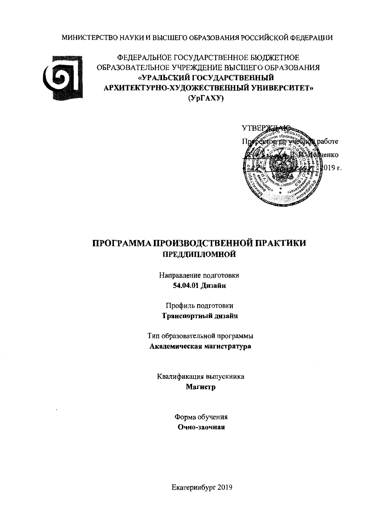МИНИСТЕРСТВО НАУКИ И ВЫСШЕГО ОБРАЗОВАНИЯ РОССИЙСКОЙ ФЕДЕРАЦИИ



ФЕДЕРАЛЬНОЕ ГОСУДАРСТВЕННОЕ БЮДЖЕТНОЕ ОБРАЗОВАТЕЛЬНОЕ УЧРЕЖДЕНИЕ ВЫСШЕГО ОБРАЗОВАНИЯ «УРАЛЬСКИЙ ГОСУДАРСТВЕННЫЙ АРХИТЕКТУРНО-ХУДОЖЕСТВЕННЫЙ УНИВЕРСИТЕТ»  $(Yp\Gamma A XY)$ 



# ПРОГРАММА ПРОИЗВОДСТВЕННОЙ ПРАКТИКИ ПРЕДДИПЛОМНОЙ

Направление подготовки 54.04.01 Дизайн

Профиль подготовки Транспортный дизайн

Тип образовательной программы Академическая магистратура

Квалификация выпускника Магистр

> Форма обучения Очно-заочная

Екатеринбург 2019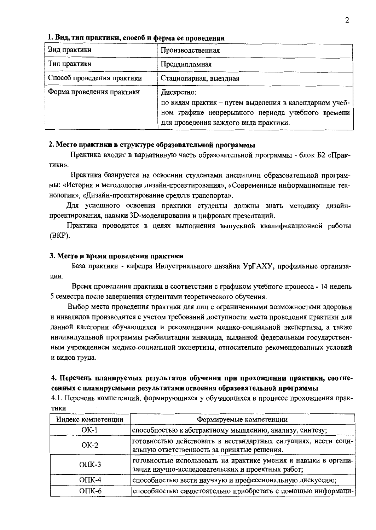| Вид практики               | Производственная                                                                                                                                                   |  |  |  |  |
|----------------------------|--------------------------------------------------------------------------------------------------------------------------------------------------------------------|--|--|--|--|
| Тип практики               | Преддипломная                                                                                                                                                      |  |  |  |  |
| Способ проведения практики | Стационарная, выездная                                                                                                                                             |  |  |  |  |
| Форма проведения практики  | Дискретно:<br>по видам практик - путем выделения в календарном учеб-<br>ном графике непрерывного периода учебного времени<br>для проведения каждого вида практики. |  |  |  |  |

#### 1. Вид, тип практики, способ и форма ее проведения

#### 2. Место практики в структуре образовательной программы

Практика входит в вариативную часть образовательной программы - блок Б2 «Практики».

Практика базируется на освоении студентами дисциплин образовательной программы: «История и методология дизайн-проектирования», «Современные информационные технологии», «Дизайн-проектирование средств транспорта».

Для успешного освоения практики студенты должны знать методику дизайнпроектирования, навыки 3D-моделирования и цифровых презентаций.

Практика проводится в целях выполнения выпускной квалификационной работы  $(BKP)$ .

#### 3. Место и время проведения практики

База практики - кафедра Индустриального дизайна УрГАХУ, профильные организации.

Время проведения практики в соответствии с графиком учебного процесса - 14 недель 5 семестра после завершения студентами теоретического обучения.

Выбор места проведения практики для лиц с ограниченными возможностями здоровья и инвалидов производится с учетом требований доступности места проведения практики для данной категории обучающихся и рекомендации медико-социальной экспертизы, а также индивидуальной программы реабилитации инвалида, выданной федеральным государственным учреждением медико-социальной экспертизы, относительно рекомендованных условий и видов труда.

## 4. Перечень планируемых результатов обучения при прохождении практики, соотнесенных с планируемыми результатами освоения образовательной программы

4.1. Перечень компетенций, формирующихся у обучающихся в процессе прохождения прак-ТИКИ

| Индекс компетенции | Формируемые компетенции                                                                                             |
|--------------------|---------------------------------------------------------------------------------------------------------------------|
| $OK-1$             | способностью к абстрактному мышлению, анализу, синтезу;                                                             |
| $OK-2$             | готовностью действовать в нестандартных ситуациях, нести соци-<br>альную ответственность за принятые решения.       |
| $O$ $TK-3$         | готовностью использовать на практике умения и навыки в органи-<br>зации научно-исследовательских и проектных работ; |
| $O\Pi K-4$         | способностью вести научную и профессиональную дискуссию;                                                            |
| $OIIK-6$           | способностью самостоятельно приобретать с помощью информаци-                                                        |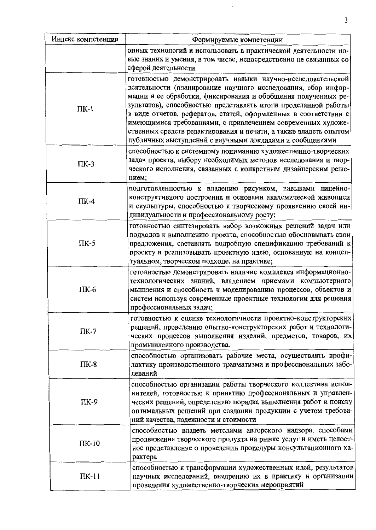| Индекс компетенции | Формируемые компетенции                                                                                                                                                                                                                                                                                                                                                                                                                                                                                                           |
|--------------------|-----------------------------------------------------------------------------------------------------------------------------------------------------------------------------------------------------------------------------------------------------------------------------------------------------------------------------------------------------------------------------------------------------------------------------------------------------------------------------------------------------------------------------------|
|                    | онных технологий и использовать в практической деятельности но-<br>вые знания и умения, в том числе, непосредственно не связанных со<br>сферой деятельности.                                                                                                                                                                                                                                                                                                                                                                      |
| $\Pi K-1$          | готовностью демонстрировать навыки научно-исследовательской<br>деятельности (планирование научного исследования, сбор инфор-<br>мации и ее обработки, фиксирования и обобщения полученных ре-<br>зультатов), способностью представлять итоги проделанной работы<br>в виде отчетов, рефератов, статей, оформленных в соответствии с<br>имеющимися требованиями, с привлечением современных художе-<br>ственных средств редактирования и печати, а также владеть опытом<br>публичных выступлений с научными докладами и сообщениями |
| $\Pi K-3$          | способностью к системному пониманию художественно-творческих<br>задач проекта, выбору необходимых методов исследования и твор-<br>ческого исполнения, связанных с конкретным дизайнерским реше-<br>нием;                                                                                                                                                                                                                                                                                                                          |
| $\Pi K-4$          | подготовленностью к владению рисунком, навыками линейно-<br>конструктивного построения и основами академической живописи<br>и скульптуры, способностью к творческому проявлению своей ин-<br>дивидуальности и профессиональному росту;                                                                                                                                                                                                                                                                                            |
| $\Pi K-5$          | готовностью синтезировать набор возможных решений задач или<br>подходов к выполнению проекта, способностью обосновывать свои<br>предложения, составлять подробную спецификацию требований к<br>проекту и реализовывать проектную идею, основанную на концеп-<br>туальном, творческом подходе, на практике;                                                                                                                                                                                                                        |
| $\Pi K-6$          | готовностью демонстрировать наличие комплекса информационно-<br>технологических знаний, владением приемами компьютерного<br>мышления и способность к моделированию процессов, объектов и<br>систем используя современные проектные технологии для решения<br>профессиональных задач;                                                                                                                                                                                                                                              |
| $\Pi K-7$          | готовностью к оценке технологичности проектно-конструкторских<br>решений, проведению опытно-конструкторских работ и технологи-<br>ческих процессов выполнения изделий, предметов, товаров, их<br>промышленного производства.                                                                                                                                                                                                                                                                                                      |
| $\Pi K-8$          | способностью организовать рабочие места, осуществлять профи-<br>лактику производственного травматизма и профессиональных забо-<br>леваний                                                                                                                                                                                                                                                                                                                                                                                         |
| $\Pi K-9$          | способностью организации работы творческого коллектива испол-<br>нителей, готовностью к принятию профессиональных и управлен-<br>ческих решений, определению порядка выполнения работ и поиску<br>оптимальных решений при создании продукции с учетом требова-<br>ний качества, надежности и стоимости                                                                                                                                                                                                                            |
| $\Pi K-10$         | способностью владеть методами авторского надзора, способами<br>продвижения творческого продукта на рынке услуг и иметь целост-<br>ное представление о проведении процедуры консультационного ха-<br>рактера                                                                                                                                                                                                                                                                                                                       |
| $\Pi$ K-11         | способностью к трансформации художественных идей, результатов<br>научных исследований, внедрению их в практику и организации<br>проведения художественно-творческих мероприятий                                                                                                                                                                                                                                                                                                                                                   |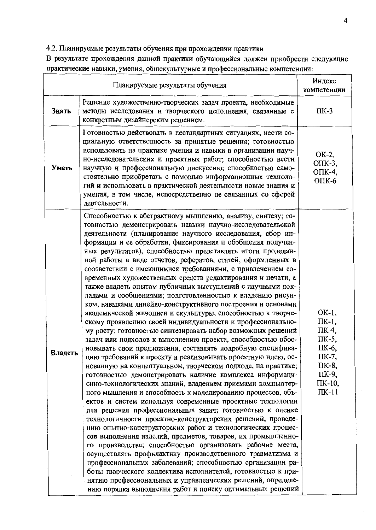4.2. Планируемые результаты обучения при прохождении практики

В результате прохождения данной практики обучающийся должен приобрести следующие практические навыки, умения, общекультурные и профессиональные компетенции:

|         | Индекс<br>компетенции                                                                                                                                                                                                                                                                                                                                                                                                                                                                                                                                                                                                                                                                                                                                                                                                                                                                                                                                                                                                                                                                                                                                                                                                                                                                                                                                                                                                                                                                                                                                                                                                                                                                                                                                                                                                                                                                                                                                                                                                                                              |                                                                                                   |
|---------|--------------------------------------------------------------------------------------------------------------------------------------------------------------------------------------------------------------------------------------------------------------------------------------------------------------------------------------------------------------------------------------------------------------------------------------------------------------------------------------------------------------------------------------------------------------------------------------------------------------------------------------------------------------------------------------------------------------------------------------------------------------------------------------------------------------------------------------------------------------------------------------------------------------------------------------------------------------------------------------------------------------------------------------------------------------------------------------------------------------------------------------------------------------------------------------------------------------------------------------------------------------------------------------------------------------------------------------------------------------------------------------------------------------------------------------------------------------------------------------------------------------------------------------------------------------------------------------------------------------------------------------------------------------------------------------------------------------------------------------------------------------------------------------------------------------------------------------------------------------------------------------------------------------------------------------------------------------------------------------------------------------------------------------------------------------------|---------------------------------------------------------------------------------------------------|
| Знать   | Решение художественно-творческих задач проекта, необходимые<br>методы исследования и творческого исполнения, связанные с<br>конкретным дизайнерским решением.                                                                                                                                                                                                                                                                                                                                                                                                                                                                                                                                                                                                                                                                                                                                                                                                                                                                                                                                                                                                                                                                                                                                                                                                                                                                                                                                                                                                                                                                                                                                                                                                                                                                                                                                                                                                                                                                                                      | $\Pi K-3$                                                                                         |
| Уметь   | Готовностью действовать в нестандартных ситуациях, нести со-<br>циальную ответственность за принятые решения; готовностью<br>использовать на практике умения и навыки в организации науч-<br>но-исследовательских и проектных работ; способностью вести<br>научную и профессиональную дискуссию; способностью само-<br>стоятельно приобретать с помощью информационных техноло-<br>гий и использовать в практической деятельности новые знания и<br>умения, в том числе, непосредственно не связанных со сферой<br>деятельности.                                                                                                                                                                                                                                                                                                                                                                                                                                                                                                                                                                                                                                                                                                                                                                                                                                                                                                                                                                                                                                                                                                                                                                                                                                                                                                                                                                                                                                                                                                                                   | OK-2,<br>$O$ $TK-3$ ,<br>$O$ $TK-4$ ,<br>$O$ $TK-6$                                               |
| Владеть | Способностью к абстрактному мышлению, анализу, синтезу; го-<br>товностью демонстрировать навыки научно-исследовательской<br>деятельности (планирование научного исследования, сбор ин-<br>формации и ее обработки, фиксирования и обобщения получен-<br>ных результатов), способностью представлять итоги проделан-<br>ной работы в виде отчетов, рефератов, статей, оформленных в<br>соответствии с имеющимися требованиями, с привлечением со-<br>временных художественных средств редактирования и печати, а<br>также владеть опытом публичных выступлений с научными док-<br>ладами и сообщениями; подготовленностью к владению рисун-<br>ком, навыками линейно-конструктивного построения и основами<br>академической живописи и скульптуры, способностью к творче-<br>скому проявлению своей индивидуальности и профессионально-<br>му росту; готовностью синтезировать набор возможных решений<br>задач или подходов к выполнению проекта, способностью обос-<br>новывать свои предложения, составлять подробную специфика-<br>цию требований к проекту и реализовывать проектную идею, ос-<br>нованную на концептуальном, творческом подходе, на практике;<br>готовностью демонстрировать наличие комплекса информаци-<br>онно-технологических знаний, владением приемами компьютер-<br>ного мышления и способность к моделированию процессов, объ-<br>ектов и систем используя современные проектные технологии<br>для решения профессиональных задач; готовностью к оценке<br>технологичности проектно-конструкторских решений, проведе-<br>нию опытно-конструкторских работ и технологических процес-<br>сов выполнения изделий, предметов, товаров, их промышленно-<br>го производства; способностью организовать рабочие места,<br>осуществлять профилактику производственного травматизма и<br>профессиональных заболеваний; способностью организации ра-<br>боты творческого коллектива исполнителей, готовностью к при-<br>нятию профессиональных и управленческих решений, определе-<br>нию порядка выполнения работ и поиску оптимальных решений | OK-1,<br>ПК-1,<br>ПК-4,<br>ПК-5,<br>ПК-6,<br>ПК-7,<br>ПК-8,<br>ПК-9,<br>$\Pi$ K-10,<br>$\Pi K-11$ |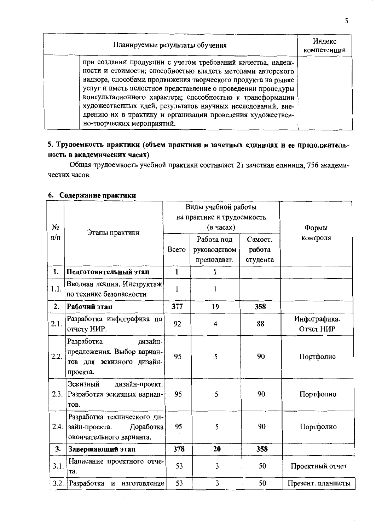| Планируемые результаты обучения                                                                                                                                                                                                                                                                                                                                                                                                                                                    | Индекс<br>компетенции |
|------------------------------------------------------------------------------------------------------------------------------------------------------------------------------------------------------------------------------------------------------------------------------------------------------------------------------------------------------------------------------------------------------------------------------------------------------------------------------------|-----------------------|
| при создании продукции с учетом требований качества, надеж-<br>ности и стоимости; способностью владеть методами авторского<br>надзора, способами продвижения творческого продукта на рынке<br>услуг и иметь целостное представление о проведении процедуры<br>консультационного характера; способностью к трансформации<br>художественных идей, результатов научных исследований, вне-<br>дрению их в практику и организации проведения художествен-<br>но-творческих мероприятий. |                       |

# 5. Трудоемкость практики (объем практики в зачетных единицах и ее продолжительность в академических часах)

Общая трудоемкость учебной практики составляет 21 зачетная единица, 756 академических часов.

|           | Этапы практики                                                                               | Виды учебной работы |                                           |                               |                   |
|-----------|----------------------------------------------------------------------------------------------|---------------------|-------------------------------------------|-------------------------------|-------------------|
|           |                                                                                              |                     | на практике и трудоемкость                |                               |                   |
| $N_2$     |                                                                                              | (в часах)           |                                           |                               | Формы             |
| $\Pi/\Pi$ |                                                                                              | Всего               | Работа под<br>руководством<br>преподават. | Самост.<br>работа<br>студента | контроля          |
| 1.        | Подготовительный этап                                                                        | $\mathbf{1}$        | $\mathbf{1}$                              |                               |                   |
| 1.1.      | Вводная лекция. Инструктаж<br>по технике безопасности                                        | $\mathbf{1}$        | 1                                         |                               |                   |
| 2.        | Рабочий этап                                                                                 | 377                 | 19                                        | 358                           |                   |
| 2.1.      | Разработка инфографика по                                                                    | 92                  | 4                                         | 88                            | Инфографика.      |
|           | отчету НИР.                                                                                  |                     |                                           |                               | Отчет НИР         |
| 2.2.      | Разработка<br>дизайн-<br>предложения. Выбор вариан-<br>тов для эскизного дизайн-<br>проекта. | 95                  | 5                                         | 90                            | Портфолио         |
|           | Эскизный<br>дизайн-проект.<br>2.3. Разработка эскизных вариан-<br>TOB.                       | 95                  | 5                                         | 90                            | Портфолио         |
| 2.4.      | Разработка технического ди-<br>зайн-проекта.<br>Доработка<br>окончательного варианта.        | 95                  | 5                                         | 90                            | Портфолио         |
| 3.        | Завершающий этап                                                                             | 378                 | 20                                        | 358                           |                   |
| 3.1.      | Написание проектного отче-<br>Ta.                                                            | 53                  | 3                                         | 50                            | Проектный отчет   |
| 3.2.      | Разработка и изготовление                                                                    | 53                  | 3                                         | 50                            | Презент. планшеты |

# 6. Содержание практики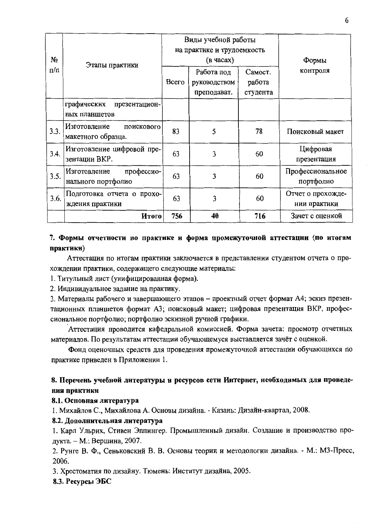| No        | Этапы практики                                   | Виды учебной работы<br>на практике и трудоемкость<br>(в часах) |                                           |                               | Формы                             |
|-----------|--------------------------------------------------|----------------------------------------------------------------|-------------------------------------------|-------------------------------|-----------------------------------|
| $\pi/\pi$ |                                                  | Bcero                                                          | Работа под<br>руководством<br>преподават. | Самост.<br>работа<br>студента | контроля                          |
|           | графических<br>презентацион-<br>ных планшетов    |                                                                |                                           |                               |                                   |
| 3.3.      | Изготовление<br>поискового<br>макетного образца. | 83                                                             | 5                                         | 78                            | Поисковый макет                   |
| 3.4.      | Изготовление цифровой пре-<br>зентации ВКР.      | 63                                                             | 3                                         | 60                            | Цифровая<br>презентация           |
| 3.5.      | профессио-<br>Изготовление<br>нального портфолио | 63                                                             | 3                                         | 60                            | Профессиональное<br>портфолио     |
| 3.6.      | Подготовка отчета о прохо-<br>ждения практики    | 63                                                             | 3                                         | 60                            | Отчет о прохожде-<br>нии практики |
|           | Итого                                            | 756                                                            | 40                                        | 716                           | Зачет с оценкой                   |

# 7. Формы отчетности по практике и форма промежуточной аттестации (по итогам практики)

Аттестация по итогам практики заключается в представлении студентом отчета о прохождении практики, содержащего следующие материалы:

1. Титульный лист (унифицированная форма).

2. Индивидуальное задание на практику.

3. Материалы рабочего и завершающего этапов - проектный отчет формат А4; эскиз презентационных планшетов формат А3; поисковый макет; цифровая презентация ВКР, профессиональное портфолио; портфолио эскизной ручной графики.

Аттестация проводится кафедральной комиссией. Форма зачета: просмотр отчетных материалов. По результатам аттестации обучающемуся выставляется зачёт с оценкой.

Фонд оценочных средств для проведения промежуточной аттестации обучающихся по практике приведен в Приложении 1.

# 8. Перечень учебной литературы и ресурсов сети Интернет, необходимых для проведения практики

### 8.1. Основная литература

1. Михайлов С., Михайлова А. Основы дизайна. - Казань: Дизайн-квартал, 2008.

### 8.2. Дополнительная литература

1. Карл Ульрих, Стивен Эппингер. Промышленный дизайн. Создание и производство продукта. - М.: Вершина, 2007.

2. Рунге В. Ф., Сеньковский В. В. Основы теории и методологии дизайна. - М.: МЗ-Пресс, 2006.

3. Хрестоматия по дизайну. Тюмень: Институт дизайна, 2005.

### 8.3. Ресурсы ЭБС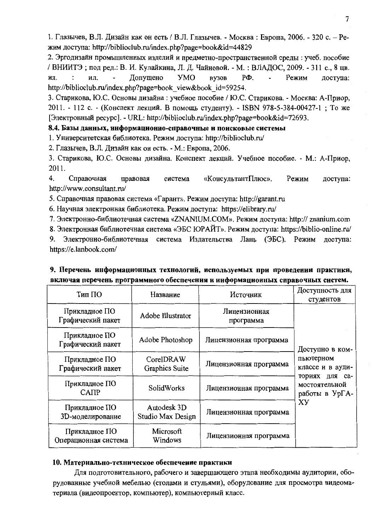1. Глазычев, В.Л. Дизайн как он есть / В.Л. Глазычев. - Москва: Европа, 2006. - 320 с. - Режим доступа: http://biblioclub.ru/index.php?page=book&id=44829

2. Эргодизайн промышленных изделий и предметно-пространственной среды: учеб. пособие / ВНИИТЭ; под ред.: В. И. Кулайкина, Л. Д. Чайновой. - М. : ВЛАДОС, 2009. - 311 с., 8 цв. **YMO** PФ. Режим ИЛ. ил. Лопушено **BV3OB** доступа: http://biblioclub.ru/index.php?page=book view&book id=59254.

3. Старикова, Ю.С. Основы дизайна: учебное пособие / Ю.С. Старикова. - Москва: А-Приор, 2011. - 112 с. - (Конспект лекций. В помощь студенту). - ISBN 978-5-384-00427-1; То же [Электронный ресурс]. - URL: http://biblioclub.ru/index.php?page=book&id=72693.

### 8.4. Базы данных, информационно-справочные и поисковые системы

1. Университетская библиотека. Режим доступа: http://biblioclub.ru/

2. Глазычев, В.Л. Дизайн как он есть. - М.: Европа, 2006.

3. Старикова, Ю.С. Основы дизайна. Конспект лекций. Учебное пособие. - М.: А-Приор, 2011.

4. Справочная правовая «КонсультантПлюс». Режим доступа: система http://www.consultant.ru/

5. Справочная правовая система «Гарант». Режим доступа: http://garant.ru

6. Научная электронная библиотека. Режим доступа: https://elibrary.ru/

7. Электронно-библиотечная система «ZNANIUM.COM». Режим доступа: http:// znanium.com

8. Электронная библиотечная система «ЭБС ЮРАЙТ». Режим доступа: https://biblio-online.ru/

Электронно-библиотечная система Издательства Лань (ЭБС). Режим доступа: 9. https://e.lanbook.com/

| Тип ПО                                | Название                         | Источник                  | Доступность для<br>студентов                      |
|---------------------------------------|----------------------------------|---------------------------|---------------------------------------------------|
| Прикладное ПО<br>Графический пакет    | Adobe Illustrator                | Лицензионная<br>программа |                                                   |
| Прикладное ПО<br>Графический пакет    | Adobe Photoshop                  | Лицензионная программа    | Доступно в ком-                                   |
| Прикладное ПО<br>Графический пакет    | CorelDRAW<br>Graphics Suite      | Лицензионная программа    | пьютерном<br>классе и в ауди-                     |
| Прикладное ПО<br>CATIP                | SolidWorks                       | Лицензионная программа    | ториях для са-<br>мостоятельной<br>работы в УрГА- |
| Прикладное ПО<br>3D-моделирование     | Autodesk 3D<br>Studio Max Design | Лицензионная программа    | XУ                                                |
| Прикладное ПО<br>Операционная система | Microsoft<br>Windows             | Лицензионная программа    |                                                   |

## 9. Перечень информационных технологий, используемых при проведении практики, включая перечень программного обеспечения и ииформационных справочных систем.

### 10. Материально-техническое обеспечение практики

Для подготовительного, рабочего и завершающего этапа необходимы аудитории, оборудованные учебной мебелью (столами и стульями), оборудование для просмотра видеоматериала (видеопроектор, компьютер), компьютерный класс.